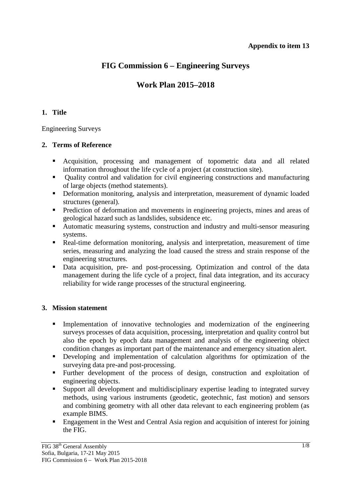# **FIG Commission 6 – Engineering Surveys**

# **Work Plan 2015–2018**

## **1. Title**

Engineering Surveys

## **2. Terms of Reference**

- Acquisition, processing and management of topometric data and all related information throughout the life cycle of a project (at construction site).
- Quality control and validation for civil engineering constructions and manufacturing of large objects (method statements).
- Deformation monitoring, analysis and interpretation, measurement of dynamic loaded structures (general).
- **Prediction of deformation and movements in engineering projects, mines and areas of** geological hazard such as landslides, subsidence etc.
- Automatic measuring systems, construction and industry and multi-sensor measuring systems.
- Real-time deformation monitoring, analysis and interpretation, measurement of time series, measuring and analyzing the load caused the stress and strain response of the engineering structures.
- Data acquisition, pre- and post-processing. Optimization and control of the data management during the life cycle of a project, final data integration, and its accuracy reliability for wide range processes of the structural engineering.

## **3. Mission statement**

- Implementation of innovative technologies and modernization of the engineering surveys processes of data acquisition, processing, interpretation and quality control but also the epoch by epoch data management and analysis of the engineering object condition changes as important part of the maintenance and emergency situation alert.
- Developing and implementation of calculation algorithms for optimization of the surveying data pre-and post-processing.
- Further development of the process of design, construction and exploitation of engineering objects.
- Support all development and multidisciplinary expertise leading to integrated survey methods, using various instruments (geodetic, geotechnic, fast motion) and sensors and combining geometry with all other data relevant to each engineering problem (as example BIMS.
- **Engagement in the West and Central Asia region and acquisition of interest for joining** the FIG.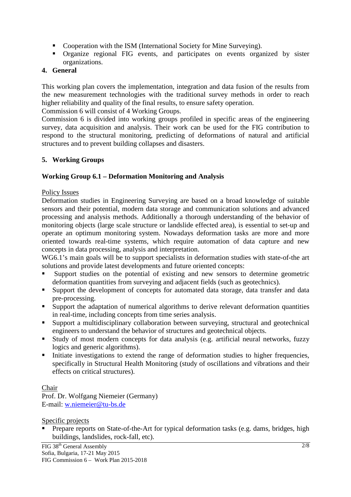- Cooperation with the ISM (International Society for Mine Surveying).
- Organize regional FIG events, and participates on events organized by sister organizations.

## **4. General**

This working plan covers the implementation, integration and data fusion of the results from the new measurement technologies with the traditional survey methods in order to reach higher reliability and quality of the final results, to ensure safety operation.

Commission 6 will consist of 4 Working Groups.

Commission 6 is divided into working groups profiled in specific areas of the engineering survey, data acquisition and analysis. Their work can be used for the FIG contribution to respond to the structural monitoring, predicting of deformations of natural and artificial structures and to prevent building collapses and disasters.

## **5. Working Groups**

## **Working Group 6.1 – Deformation Monitoring and Analysis**

## Policy Issues

Deformation studies in Engineering Surveying are based on a broad knowledge of suitable sensors and their potential, modern data storage and communication solutions and advanced processing and analysis methods. Additionally a thorough understanding of the behavior of monitoring objects (large scale structure or landslide effected area), is essential to set-up and operate an optimum monitoring system. Nowadays deformation tasks are more and more oriented towards real-time systems, which require automation of data capture and new concepts in data processing, analysis and interpretation.

WG6.1's main goals will be to support specialists in deformation studies with state-of-the art solutions and provide latest developments and future oriented concepts:

- Support studies on the potential of existing and new sensors to determine geometric deformation quantities from surveying and adjacent fields (such as geotechnics).
- Support the development of concepts for automated data storage, data transfer and data pre-processing.
- Support the adaptation of numerical algorithms to derive relevant deformation quantities in real-time, including concepts from time series analysis.
- Support a multidisciplinary collaboration between surveying, structural and geotechnical engineers to understand the behavior of structures and geotechnical objects.
- Study of most modern concepts for data analysis (e.g. artificial neural networks, fuzzy logics and generic algorithms).
- Initiate investigations to extend the range of deformation studies to higher frequencies, specifically in Structural Health Monitoring (study of oscillations and vibrations and their effects on critical structures).

## Chair

Prof. Dr. Wolfgang Niemeier (Germany) E-mail: w.niemeier@tu-bs.de

#### Specific projects

 Prepare reports on State-of-the-Art for typical deformation tasks (e.g. dams, bridges, high buildings, landslides, rock-fall, etc).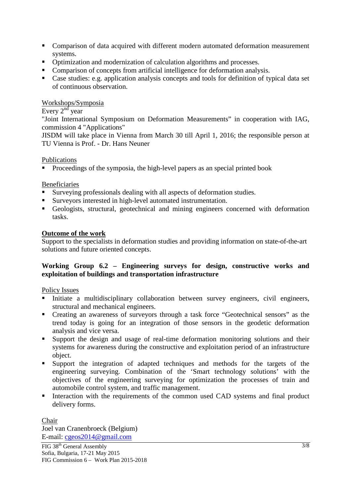- Comparison of data acquired with different modern automated deformation measurement systems.
- Optimization and modernization of calculation algorithms and processes.
- Comparison of concepts from artificial intelligence for deformation analysis.
- Case studies: e.g. application analysis concepts and tools for definition of typical data set of continuous observation.

#### Workshops/Symposia

Every  $2<sup>nd</sup>$  year

"Joint International Symposium on Deformation Measurements" in cooperation with IAG, commission 4 "Applications"

JISDM will take place in Vienna from March 30 till April 1, 2016; the responsible person at TU Vienna is Prof. - Dr. Hans Neuner

#### Publications

**Proceedings of the symposia, the high-level papers as an special printed book** 

#### Beneficiaries

- Surveying professionals dealing with all aspects of deformation studies.
- Surveyors interested in high-level automated instrumentation.
- Geologists, structural, geotechnical and mining engineers concerned with deformation tasks.

#### **Outcome of the work**

Support to the specialists in deformation studies and providing information on state-of-the-art solutions and future oriented concepts.

## **Working Group 6.2 – Engineering surveys for design, constructive works and exploitation of buildings and transportation infrastructure**

#### Policy Issues

- Initiate a multidisciplinary collaboration between survey engineers, civil engineers, structural and mechanical engineers.
- Creating an awareness of surveyors through a task force "Geotechnical sensors" as the trend today is going for an integration of those sensors in the geodetic deformation analysis and vice versa.
- Support the design and usage of real-time deformation monitoring solutions and their systems for awareness during the constructive and exploitation period of an infrastructure object.
- Support the integration of adapted techniques and methods for the targets of the engineering surveying. Combination of the 'Smart technology solutions' with the objectives of the engineering surveying for optimization the processes of train and automobile control system, and traffic management.
- Interaction with the requirements of the common used CAD systems and final product delivery forms.

Chair Joel van Cranenbroeck (Belgium) E-mail: cgeos2014@gmail.com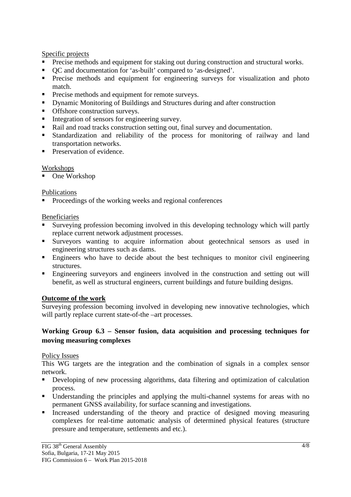## Specific projects

- Precise methods and equipment for staking out during construction and structural works.
- OC and documentation for 'as-built' compared to 'as-designed'.
- **Precise methods and equipment for engineering surveys for visualization and photo** match.
- **Precise methods and equipment for remote surveys.**
- Dynamic Monitoring of Buildings and Structures during and after construction
- Offshore construction surveys.
- Integration of sensors for engineering survey.
- Rail and road tracks construction setting out, final survey and documentation.
- Standardization and reliability of the process for monitoring of railway and land transportation networks.
- **Preservation of evidence.**

## Workshops

■ One Workshop

## Publications

**Proceedings of the working weeks and regional conferences** 

## Beneficiaries

- Surveying profession becoming involved in this developing technology which will partly replace current network adjustment processes.
- Surveyors wanting to acquire information about geotechnical sensors as used in engineering structures such as dams.
- Engineers who have to decide about the best techniques to monitor civil engineering structures.
- Engineering surveyors and engineers involved in the construction and setting out will benefit, as well as structural engineers, current buildings and future building designs.

## **Outcome of the work**

Surveying profession becoming involved in developing new innovative technologies, which will partly replace current state-of-the –art processes.

## **Working Group 6.3 – Sensor fusion, data acquisition and processing techniques for moving measuring complexes**

## Policy Issues

This WG targets are the integration and the combination of signals in a complex sensor network.

- Developing of new processing algorithms, data filtering and optimization of calculation process.
- Understanding the principles and applying the multi-channel systems for areas with no permanent GNSS availability, for surface scanning and investigations.
- Increased understanding of the theory and practice of designed moving measuring complexes for real-time automatic analysis of determined physical features (structure pressure and temperature, settlements and etc.).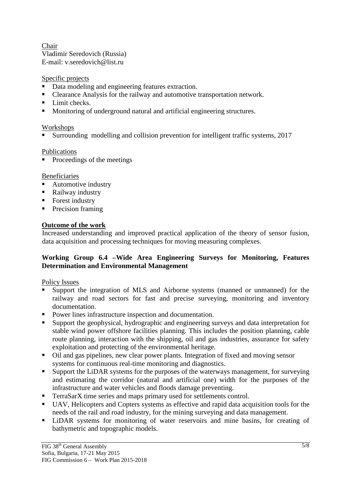Chair Vladimir Seredovich (Russia) E-mail: v.seredovich@list.ru

## Specific projects

- Data modeling and engineering features extraction.
- Clearance Analysis for the railway and automotive transportation network.
- Limit checks.
- Monitoring of underground natural and artificial engineering structures.

## **Workshops**

Surrounding modelling and collision prevention for intelligent traffic systems, 2017

## Publications

 $\blacksquare$  Proceedings of the meetings

## Beneficiaries

- **Automotive industry**
- Railway industry
- Forest industry
- Precision framing

## **Outcome of the work**

Increased understanding and improved practical application of the theory of sensor fusion, data acquisition and processing techniques for moving measuring complexes.

## **Working Group 6.4 –Wide Area Engineering Surveys for Monitoring, Features Determination and Environmental Management**

## Policy Issues

- Support the integration of MLS and Airborne systems (manned or unmanned) for the railway and road sectors for fast and precise surveying, monitoring and inventory documentation.
- Power lines infrastructure inspection and documentation.
- Support the geophysical, hydrographic and engineering surveys and data interpretation for stable wind power offshore facilities planning. This includes the position planning, cable route planning, interaction with the shipping, oil and gas industries, assurance for safety exploitation and protecting of the environmental heritage.
- Oil and gas pipelines, new clear power plants. Integration of fixed and moving sensor systems for continuous real-time monitoring and diagnostics.
- **Support the LiDAR systems for the purposes of the waterways management, for surveying** and estimating the corridor (natural and artificial one) width for the purposes of the infrastructure and water vehicles and floods damage preventing.
- TerraSarX time series and maps primary used for settlements control.
- UAV, Helicopters and Copters systems as effective and rapid data acquisition tools for the needs of the rail and road industry, for the mining surveying and data management.
- LiDAR systems for monitoring of water reservoirs and mine basins, for creating of bathymetric and topographic models.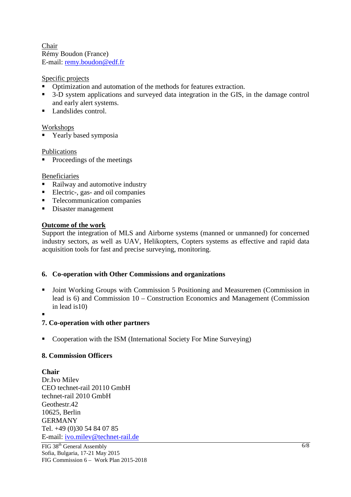Chair Rémy Boudon (France) E-mail: remy.boudon@edf.fr

## Specific projects

- Optimization and automation of the methods for features extraction.
- <sup>3</sup> 3-D system applications and surveyed data integration in the GIS, in the damage control and early alert systems.
- **Landslides control.**

#### Workshops

**Table 1** Yearly based symposia

#### Publications

 $\blacksquare$  Proceedings of the meetings

#### Beneficiaries

- Railway and automotive industry
- Electric-, gas- and oil companies
- **Telecommunication companies**
- Disaster management

#### **Outcome of the work**

Support the integration of MLS and Airborne systems (manned or unmanned) for concerned industry sectors, as well as UAV, Helikopters, Copters systems as effective and rapid data acquisition tools for fast and precise surveying, monitoring.

#### **6. Co-operation with Other Commissions and organizations**

 Joint Working Groups with Commission 5 Positioning and Measuremen (Commission in lead is 6) and Commission 10 – Construction Economics and Management (Commission in lead is10)

.

## **7. Co-operation with other partners**

Cooperation with the ISM (International Society For Mine Surveying)

## **8. Commission Officers**

**Chair**  Dr.Ivo Milev CEO technet-rail 20110 GmbH technet-rail 2010 GmbH Geothestr.42 10625, Berlin GERMANY Tel. +49 (0)30 54 84 07 85 E-mail: ivo.milev@technet-rail.de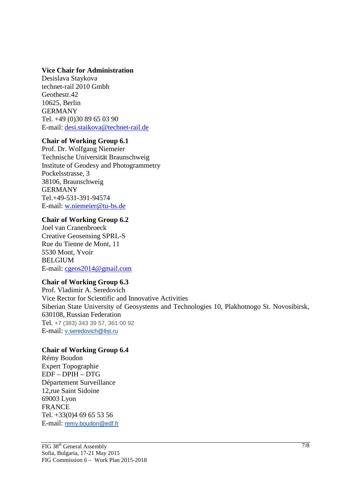#### **Vice Chair for Administration**

Desislava Staykova technet-rail 2010 Gmbh Geothestr.42 10625, Berlin GERMANY Tel. +49 (0)30 89 65 03 90 E-mail: desi.staikova@technet-rail.de

#### **Chair of Working Group 6.1**

Prof. Dr. Wolfgang Niemeier Technische Universität Braunschweig Institute of Geodesy and Photogrammetry Pockelsstrasse, 3 38106, Braunschweig GERMANY Tel.+49-531-391-94574 E-mail: w.niemeier@tu-bs.de

## **Chair of Working Group 6.2**

Joel van Cranenbroeck Creative Geosensing SPRL-S Rue du Tienne de Mont, 11 5530 Mont, Yvoir BELGIUM E-mail: cgeos2014@gmail.com

## **Chair of Working Group 6.3**

Prof. Vladimir A. Seredovich Vice Rector for Scientific and Innovative Activities Siberian State University of Geosystems and Technologies 10, Plakhotnogo St. Novosibirsk, 630108, Russian Federation Tel. +7 (383) 343 39 57, 361 00 92 E-mail: v.seredovich@llst.ru

## **Chair of Working Group 6.4**

Rémy Boudon Expert Topographie EDF – DPIH – DTG Département Surveillance 12,rue Saint Sidoine 69003 Lyon FRANCE Tel. +33(0)4 69 65 53 56 E-mail: remy.boudon@edf.fr